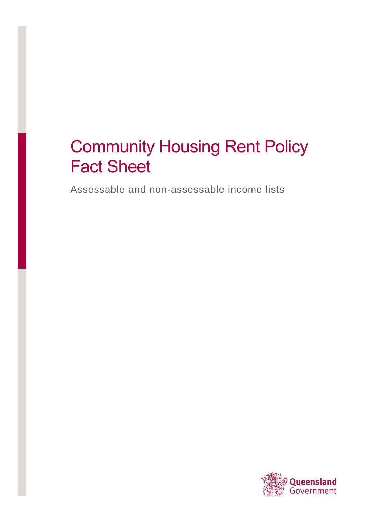# Community Housing Rent Policy Fact Sheet

Assessable and non-assessable income lists

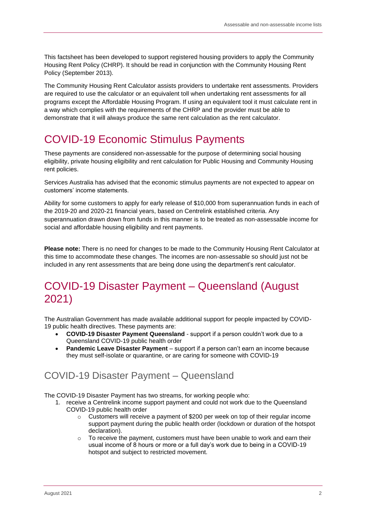This factsheet has been developed to support registered housing providers to apply the Community Housing Rent Policy (CHRP). It should be read in conjunction with the Community Housing Rent Policy (September 2013).

The Community Housing Rent Calculator assists providers to undertake rent assessments. Providers are required to use the calculator or an equivalent toll when undertaking rent assessments for all programs except the Affordable Housing Program. If using an equivalent tool it must calculate rent in a way which complies with the requirements of the CHRP and the provider must be able to demonstrate that it will always produce the same rent calculation as the rent calculator.

# COVID-19 Economic Stimulus Payments

These payments are considered non-assessable for the purpose of determining social housing eligibility, private housing eligibility and rent calculation for Public Housing and Community Housing rent policies.

Services Australia has advised that the economic stimulus payments are not expected to appear on customers' income statements.

Ability for some customers to apply for early release of \$10,000 from superannuation funds in each of the 2019-20 and 2020-21 financial years, based on Centrelink established criteria. Any superannuation drawn down from funds in this manner is to be treated as non-assessable income for social and affordable housing eligibility and rent payments.

**Please note:** There is no need for changes to be made to the Community Housing Rent Calculator at this time to accommodate these changes. The incomes are non-assessable so should just not be included in any rent assessments that are being done using the department's rent calculator.

# COVID-19 Disaster Payment – Queensland (August 2021)

The Australian Government has made available additional support for people impacted by COVID-19 public health directives. These payments are:

- **COVID-19 Disaster Payment Queensland** support if a person couldn't work due to a Queensland COVID-19 public health order
- **Pandemic Leave Disaster Payment** support if a person can't earn an income because they must self-isolate or quarantine, or are caring for someone with COVID-19

### COVID-19 Disaster Payment – Queensland

The COVID-19 Disaster Payment has two streams, for working people who:

- 1. receive a Centrelink income support payment and could not work due to the Queensland COVID-19 public health order
	- $\circ$  Customers will receive a payment of \$200 per week on top of their regular income support payment during the public health order (lockdown or duration of the hotspot declaration).
	- To receive the payment, customers must have been unable to work and earn their usual income of 8 hours or more or a full day's work due to being in a COVID-19 hotspot and subject to restricted movement.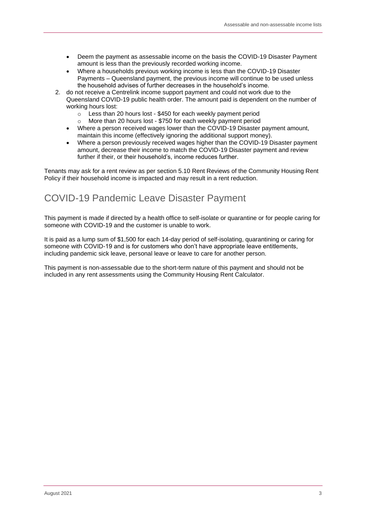- Deem the payment as assessable income on the basis the COVID-19 Disaster Payment amount is less than the previously recorded working income.
- Where a households previous working income is less than the COVID-19 Disaster Payments – Queensland payment, the previous income will continue to be used unless the household advises of further decreases in the household's income.
- 2. do not receive a Centrelink income support payment and could not work due to the Queensland COVID-19 public health order. The amount paid is dependent on the number of working hours lost:
	- o Less than 20 hours lost \$450 for each weekly payment period
	- More than 20 hours lost \$750 for each weekly payment period
	- Where a person received wages lower than the COVID-19 Disaster payment amount, maintain this income (effectively ignoring the additional support money).
	- Where a person previously received wages higher than the COVID-19 Disaster payment amount, decrease their income to match the COVID-19 Disaster payment and review further if their, or their household's, income reduces further.

Tenants may ask for a rent review as per section 5.10 Rent Reviews of the Community Housing Rent Policy if their household income is impacted and may result in a rent reduction.

### COVID-19 Pandemic Leave Disaster Payment

This payment is made if directed by a health office to self-isolate or quarantine or for people caring for someone with COVID-19 and the customer is unable to work.

It is paid as a lump sum of \$1,500 for each 14-day period of self-isolating, quarantining or caring for someone with COVID-19 and is for customers who don't have appropriate leave entitlements, including pandemic sick leave, personal leave or leave to care for another person.

This payment is non-assessable due to the short-term nature of this payment and should not be included in any rent assessments using the Community Housing Rent Calculator.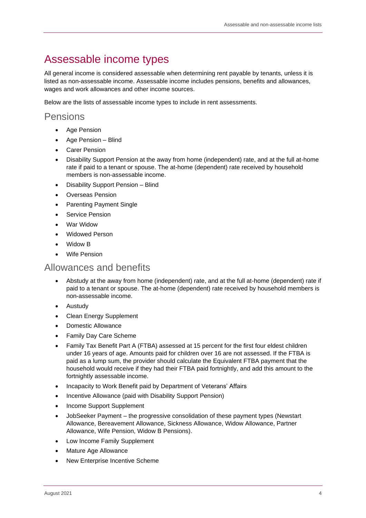# Assessable income types

All general income is considered assessable when determining rent payable by tenants, unless it is listed as non-assessable income. Assessable income includes pensions, benefits and allowances, wages and work allowances and other income sources.

Below are the lists of assessable income types to include in rent assessments.

### Pensions

- Age Pension
- Age Pension Blind
- Carer Pension
- Disability Support Pension at the away from home (independent) rate, and at the full at-home rate if paid to a tenant or spouse. The at-home (dependent) rate received by household members is non-assessable income.
- Disability Support Pension Blind
- Overseas Pension
- Parenting Payment Single
- Service Pension
- War Widow
- Widowed Person
- Widow B
- **Wife Pension**

#### Allowances and benefits

- Abstudy at the away from home (independent) rate, and at the full at-home (dependent) rate if paid to a tenant or spouse. The at-home (dependent) rate received by household members is non-assessable income.
- Austudy
- Clean Energy Supplement
- Domestic Allowance
- Family Day Care Scheme
- Family Tax Benefit Part A (FTBA) assessed at 15 percent for the first four eldest children under 16 years of age. Amounts paid for children over 16 are not assessed. If the FTBA is paid as a lump sum, the provider should calculate the Equivalent FTBA payment that the household would receive if they had their FTBA paid fortnightly, and add this amount to the fortnightly assessable income.
- Incapacity to Work Benefit paid by Department of Veterans' Affairs
- Incentive Allowance (paid with Disability Support Pension)
- Income Support Supplement
- JobSeeker Payment the progressive consolidation of these payment types (Newstart Allowance, Bereavement Allowance, Sickness Allowance, Widow Allowance, Partner Allowance, Wife Pension, Widow B Pensions).
- Low Income Family Supplement
- Mature Age Allowance
- New Enterprise Incentive Scheme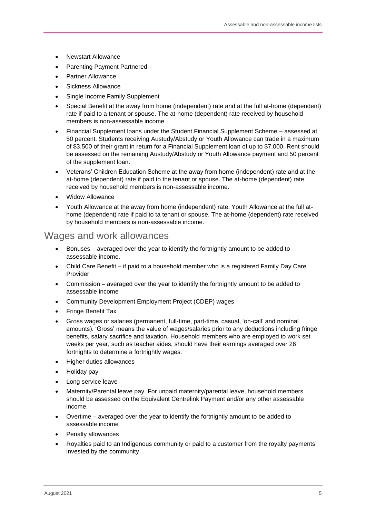- Newstart Allowance
- Parenting Payment Partnered
- Partner Allowance
- Sickness Allowance
- Single Income Family Supplement
- Special Benefit at the away from home (independent) rate and at the full at-home (dependent) rate if paid to a tenant or spouse. The at-home (dependent) rate received by household members is non-assessable income
- Financial Supplement loans under the Student Financial Supplement Scheme assessed at 50 percent. Students receiving Austudy/Abstudy or Youth Allowance can trade in a maximum of \$3,500 of their grant in return for a Financial Supplement loan of up to \$7,000. Rent should be assessed on the remaining Austudy/Abstudy or Youth Allowance payment and 50 percent of the supplement loan.
- Veterans' Children Education Scheme at the away from home (independent) rate and at the at-home (dependent) rate if paid to the tenant or spouse. The at-home (dependent) rate received by household members is non-assessable income.
- Widow Allowance
- Youth Allowance at the away from home (independent) rate. Youth Allowance at the full athome (dependent) rate if paid to ta tenant or spouse. The at-home (dependent) rate received by household members is non-assessable income.

#### Wages and work allowances

- Bonuses averaged over the year to identify the fortnightly amount to be added to assessable income.
- Child Care Benefit if paid to a household member who is a registered Family Day Care Provider
- Commission averaged over the year to identify the fortnightly amount to be added to assessable income
- Community Development Employment Project (CDEP) wages
- Fringe Benefit Tax
- Gross wages or salaries (permanent, full-time, part-time, casual, 'on-call' and nominal amounts). 'Gross' means the value of wages/salaries prior to any deductions including fringe benefits, salary sacrifice and taxation. Household members who are employed to work set weeks per year, such as teacher aides, should have their earnings averaged over 26 fortnights to determine a fortnightly wages.
- Higher duties allowances
- Holiday pay
- Long service leave
- Maternity/Parental leave pay. For unpaid maternity/parental leave, household members should be assessed on the Equivalent Centrelink Payment and/or any other assessable income.
- Overtime averaged over the year to identify the fortnightly amount to be added to assessable income
- Penalty allowances
- Royalties paid to an Indigenous community or paid to a customer from the royalty payments invested by the community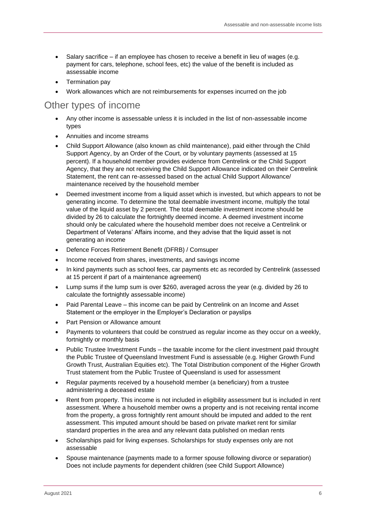- Salary sacrifice if an employee has chosen to receive a benefit in lieu of wages (e.g. payment for cars, telephone, school fees, etc) the value of the benefit is included as assessable income
- Termination pay
- Work allowances which are not reimbursements for expenses incurred on the job

#### Other types of income

- Any other income is assessable unless it is included in the list of non-assessable income types
- Annuities and income streams
- Child Support Allowance (also known as child maintenance), paid either through the Child Support Agency, by an Order of the Court, or by voluntary payments (assessed at 15 percent). If a household member provides evidence from Centrelink or the Child Support Agency, that they are not receiving the Child Support Allowance indicated on their Centrelink Statement, the rent can re-assessed based on the actual Child Support Allowance/ maintenance received by the household member
- Deemed investment income from a liquid asset which is invested, but which appears to not be generating income. To determine the total deemable investment income, multiply the total value of the liquid asset by 2 percent. The total deemable investment income should be divided by 26 to calculate the fortnightly deemed income. A deemed investment income should only be calculated where the household member does not receive a Centrelink or Department of Veterans' Affairs income, and they advise that the liquid asset is not generating an income
- Defence Forces Retirement Benefit (DFRB) / Comsuper
- Income received from shares, investments, and savings income
- In kind payments such as school fees, car payments etc as recorded by Centrelink (assessed at 15 percent if part of a maintenance agreement)
- Lump sums if the lump sum is over \$260, averaged across the year (e.g. divided by 26 to calculate the fortnightly assessable income)
- Paid Parental Leave this income can be paid by Centrelink on an Income and Asset Statement or the employer in the Employer's Declaration or payslips
- Part Pension or Allowance amount
- Payments to volunteers that could be construed as regular income as they occur on a weekly, fortnightly or monthly basis
- Public Trustee Investment Funds the taxable income for the client investment paid throught the Public Trustee of Queensland Investment Fund is assessable (e.g. Higher Growth Fund Growth Trust, Australian Equities etc). The Total Distribution component of the Higher Growth Trust statement from the Public Trustee of Queensland is used for assessment
- Regular payments received by a household member (a beneficiary) from a trustee administering a deceased estate
- Rent from property. This income is not included in eligibility assessment but is included in rent assessment. Where a household member owns a property and is not receiving rental income from the property, a gross fortnightly rent amount should be imputed and added to the rent assessment. This imputed amount should be based on private market rent for similar standard properties in the area and any relevant data published on median rents
- Scholarships paid for living expenses. Scholarships for study expenses only are not assessable
- Spouse maintenance (payments made to a former spouse following divorce or separation) Does not include payments for dependent children (see Child Support Allownce)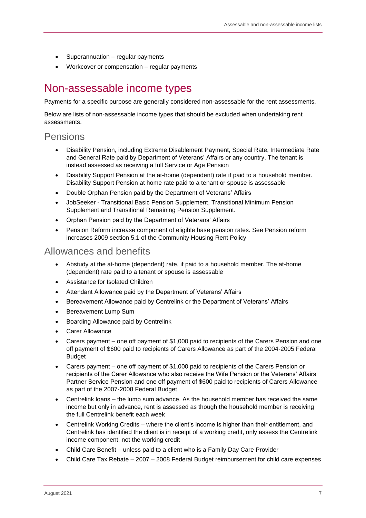- Superannuation regular payments
- Workcover or compensation regular payments

## Non-assessable income types

Payments for a specific purpose are generally considered non-assessable for the rent assessments.

Below are lists of non-assessable income types that should be excluded when undertaking rent assessments.

### Pensions

- Disability Pension, including Extreme Disablement Payment, Special Rate, Intermediate Rate and General Rate paid by Department of Veterans' Affairs or any country. The tenant is instead assessed as receiving a full Service or Age Pension
- Disability Support Pension at the at-home (dependent) rate if paid to a household member. Disability Support Pension at home rate paid to a tenant or spouse is assessable
- Double Orphan Pension paid by the Department of Veterans' Affairs
- JobSeeker Transitional Basic Pension Supplement, Transitional Minimum Pension Supplement and Transitional Remaining Pension Supplement*.*
- Orphan Pension paid by the Department of Veterans' Affairs
- Pension Reform increase component of eligible base pension rates. See Pension reform increases 2009 section 5.1 of the Community Housing Rent Policy

#### Allowances and benefits

- Abstudy at the at-home (dependent) rate, if paid to a household member. The at-home (dependent) rate paid to a tenant or spouse is assessable
- Assistance for Isolated Children
- Attendant Allowance paid by the Department of Veterans' Affairs
- Bereavement Allowance paid by Centrelink or the Department of Veterans' Affairs
- Bereavement Lump Sum
- Boarding Allowance paid by Centrelink
- Carer Allowance
- Carers payment one off payment of \$1,000 paid to recipients of the Carers Pension and one off payment of \$600 paid to recipients of Carers Allowance as part of the 2004-2005 Federal Budget
- Carers payment one off payment of \$1,000 paid to recipients of the Carers Pension or recipients of the Carer Allowance who also receive the Wife Pension or the Veterans' Affairs Partner Service Pension and one off payment of \$600 paid to recipients of Carers Allowance as part of the 2007-2008 Federal Budget
- Centrelink loans the lump sum advance. As the household member has received the same income but only in advance, rent is assessed as though the household member is receiving the full Centrelink benefit each week
- Centrelink Working Credits where the client's income is higher than their entitlement, and Centrelink has identified the client is in receipt of a working credit, only assess the Centrelink income component, not the working credit
- Child Care Benefit unless paid to a client who is a Family Day Care Provider
- Child Care Tax Rebate 2007 2008 Federal Budget reimbursement for child care expenses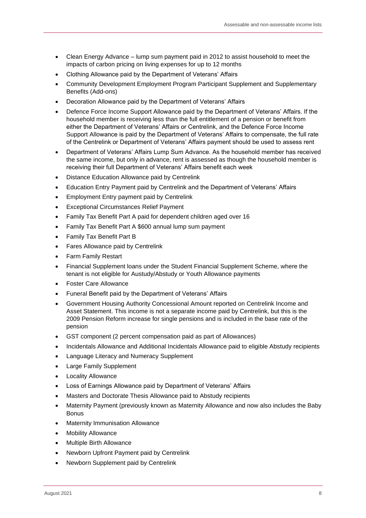- Clean Energy Advance lump sum payment paid in 2012 to assist household to meet the impacts of carbon pricing on living expenses for up to 12 months
- Clothing Allowance paid by the Department of Veterans' Affairs
- Community Development Employment Program Participant Supplement and Supplementary Benefits (Add-ons)
- Decoration Allowance paid by the Department of Veterans' Affairs
- Defence Force Income Support Allowance paid by the Department of Veterans' Affairs. If the household member is receiving less than the full entitlement of a pension or benefit from either the Department of Veterans' Affairs or Centrelink, and the Defence Force Income Support Allowance is paid by the Department of Veterans' Affairs to compensate, the full rate of the Centrelink or Department of Veterans' Affairs payment should be used to assess rent
- Department of Veterans' Affairs Lump Sum Advance. As the household member has received the same income, but only in advance, rent is assessed as though the household member is receiving their full Department of Veterans' Affairs benefit each week
- Distance Education Allowance paid by Centrelink
- Education Entry Payment paid by Centrelink and the Department of Veterans' Affairs
- Employment Entry payment paid by Centrelink
- Exceptional Circumstances Relief Payment
- Family Tax Benefit Part A paid for dependent children aged over 16
- Family Tax Benefit Part A \$600 annual lump sum payment
- Family Tax Benefit Part B
- Fares Allowance paid by Centrelink
- Farm Family Restart
- Financial Supplement loans under the Student Financial Supplement Scheme, where the tenant is not eligible for Austudy/Abstudy or Youth Allowance payments
- Foster Care Allowance
- Funeral Benefit paid by the Department of Veterans' Affairs
- Government Housing Authority Concessional Amount reported on Centrelink Income and Asset Statement. This income is not a separate income paid by Centrelink, but this is the 2009 Pension Reform increase for single pensions and is included in the base rate of the pension
- GST component (2 percent compensation paid as part of Allowances)
- Incidentals Allowance and Additional Incidentals Allowance paid to eligible Abstudy recipients
- Language Literacy and Numeracy Supplement
- **Large Family Supplement**
- Locality Allowance
- Loss of Earnings Allowance paid by Department of Veterans' Affairs
- Masters and Doctorate Thesis Allowance paid to Abstudy recipients
- Maternity Payment (previously known as Maternity Allowance and now also includes the Baby Bonus
- **Maternity Immunisation Allowance**
- **Mobility Allowance**
- Multiple Birth Allowance
- Newborn Upfront Payment paid by Centrelink
- Newborn Supplement paid by Centrelink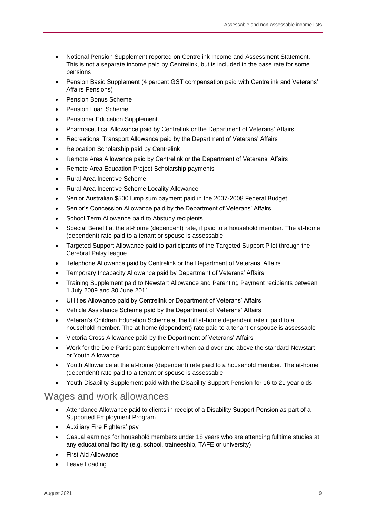- Notional Pension Supplement reported on Centrelink Income and Assessment Statement. This is not a separate income paid by Centrelink, but is included in the base rate for some pensions
- Pension Basic Supplement (4 percent GST compensation paid with Centrelink and Veterans' Affairs Pensions)
- Pension Bonus Scheme
- Pension Loan Scheme
- Pensioner Education Supplement
- Pharmaceutical Allowance paid by Centrelink or the Department of Veterans' Affairs
- Recreational Transport Allowance paid by the Department of Veterans' Affairs
- Relocation Scholarship paid by Centrelink
- Remote Area Allowance paid by Centrelink or the Department of Veterans' Affairs
- Remote Area Education Project Scholarship payments
- Rural Area Incentive Scheme
- Rural Area Incentive Scheme Locality Allowance
- Senior Australian \$500 lump sum payment paid in the 2007-2008 Federal Budget
- Senior's Concession Allowance paid by the Department of Veterans' Affairs
- School Term Allowance paid to Abstudy recipients
- Special Benefit at the at-home (dependent) rate, if paid to a household member. The at-home (dependent) rate paid to a tenant or spouse is assessable
- Targeted Support Allowance paid to participants of the Targeted Support Pilot through the Cerebral Palsy league
- Telephone Allowance paid by Centrelink or the Department of Veterans' Affairs
- Temporary Incapacity Allowance paid by Department of Veterans' Affairs
- Training Supplement paid to Newstart Allowance and Parenting Payment recipients between 1 July 2009 and 30 June 2011
- Utilities Allowance paid by Centrelink or Department of Veterans' Affairs
- Vehicle Assistance Scheme paid by the Department of Veterans' Affairs
- Veteran's Children Education Scheme at the full at-home dependent rate if paid to a household member. The at-home (dependent) rate paid to a tenant or spouse is assessable
- Victoria Cross Allowance paid by the Department of Veterans' Affairs
- Work for the Dole Participant Supplement when paid over and above the standard Newstart or Youth Allowance
- Youth Allowance at the at-home (dependent) rate paid to a household member. The at-home (dependent) rate paid to a tenant or spouse is assessable
- Youth Disability Supplement paid with the Disability Support Pension for 16 to 21 year olds

#### Wages and work allowances

- Attendance Allowance paid to clients in receipt of a Disability Support Pension as part of a Supported Employment Program
- Auxiliary Fire Fighters' pay
- Casual earnings for household members under 18 years who are attending fulltime studies at any educational facility (e.g. school, traineeship, TAFE or university)
- First Aid Allowance
- Leave Loading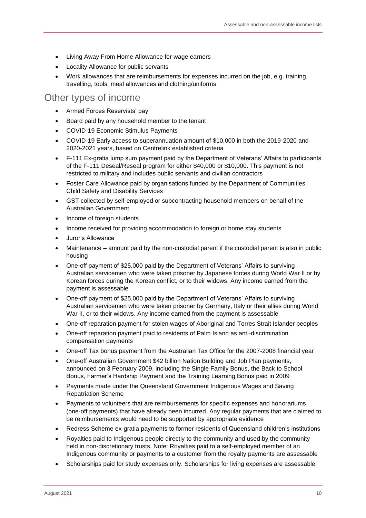- Living Away From Home Allowance for wage earners
- Locality Allowance for public servants
- Work allowances that are reimbursements for expenses incurred on the job, e.g. training, travelling, tools, meal allowances and clothing/uniforms

#### Other types of income

- Armed Forces Reservists' pay
- Board paid by any household member to the tenant
- COVID-19 Economic Stimulus Payments
- COVID-19 Early access to superannuation amount of \$10,000 in both the 2019-2020 and 2020-2021 years, based on Centrelink established criteria
- F-111 Ex-gratia lump sum payment paid by the Department of Veterans' Affairs to participants of the F-111 Deseal/Reseal program for either \$40,000 or \$10,000. This payment is not restricted to military and includes public servants and civilian contractors
- Foster Care Allowance paid by organisations funded by the Department of Communities, Child Safety and Disability Services
- GST collected by self-employed or subcontracting household members on behalf of the Australian Government
- Income of foreign students
- Income received for providing accommodation to foreign or home stay students
- Juror's Allowance
- Maintenance amount paid by the non-custodial parent if the custodial parent is also in public housing
- One-off payment of \$25,000 paid by the Department of Veterans' Affairs to surviving Australian servicemen who were taken prisoner by Japanese forces during World War II or by Korean forces during the Korean conflict, or to their widows. Any income earned from the payment is assessable
- One-off payment of \$25,000 paid by the Department of Veterans' Affairs to surviving Australian servicemen who were taken prisoner by Germany, Italy or their allies during World War II, or to their widows. Any income earned from the payment is assessable
- One-off reparation payment for stolen wages of Aboriginal and Torres Strait Islander peoples
- One-off reparation payment paid to residents of Palm Island as anti-discrimination compensation payments
- One-off Tax bonus payment from the Australian Tax Office for the 2007-2008 financial year
- One-off Australian Government \$42 billion Nation Building and Job Plan payments, announced on 3 February 2009, including the Single Family Bonus, the Back to School Bonus, Farmer's Hardship Payment and the Training Learning Bonus paid in 2009
- Payments made under the Queensland Government Indigenous Wages and Saving Repatriation Scheme
- Payments to volunteers that are reimbursements for specific expenses and honorariums (one-off payments) that have already been incurred. Any regular payments that are claimed to be reimbursements would need to be supported by appropriate evidence
- Redress Scheme ex-gratia payments to former residents of Queensland children's institutions
- Royalties paid to Indigenous people directly to the community and used by the community held in non-discretionary trusts. Note: Royalties paid to a self-employed member of an Indigenous community or payments to a customer from the royalty payments are assessable
- Scholarships paid for study expenses only. Scholarships for living expenses are assessable